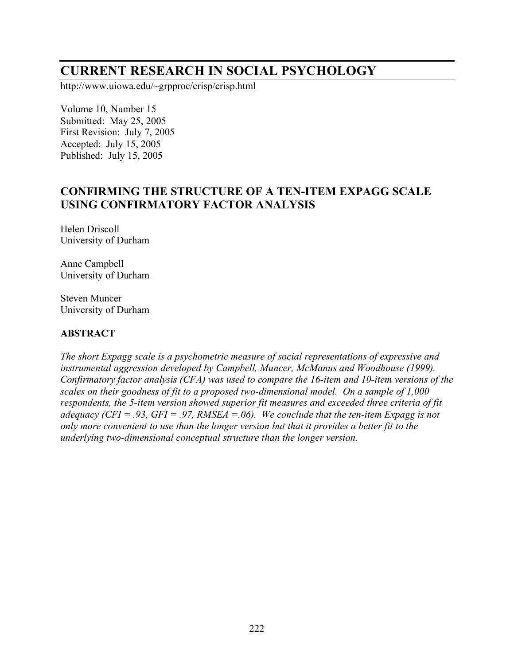# **CURRENT RESEARCH IN SOCIAL PSYCHOLOGY**

http://www.uiowa.edu/~grpproc/crisp/crisp.html

Volume 10, Number 15 Submitted: May 25, 2005 First Revision: July 7, 2005 Accepted: July 15, 2005 Published: July 15, 2005

## **CONFIRMING THE STRUCTURE OF A TEN-ITEM EXPAGG SCALE USING CONFIRMATORY FACTOR ANALYSIS**

Helen Driscoll University of Durham

Anne Campbell University of Durham

Steven Muncer University of Durham

#### **ABSTRACT**

*The short Expagg scale is a psychometric measure of social representations of expressive and instrumental aggression developed by Campbell, Muncer, McManus and Woodhouse (1999). Confirmatory factor analysis (CFA) was used to compare the 16-item and 10-item versions of the scales on their goodness of fit to a proposed two-dimensional model. On a sample of 1,000 respondents, the 5-item version showed superior fit measures and exceeded three criteria of fit adequacy (CFI = .93, GFI = .97, RMSEA =.06). We conclude that the ten-item Expagg is not only more convenient to use than the longer version but that it provides a better fit to the underlying two-dimensional conceptual structure than the longer version.*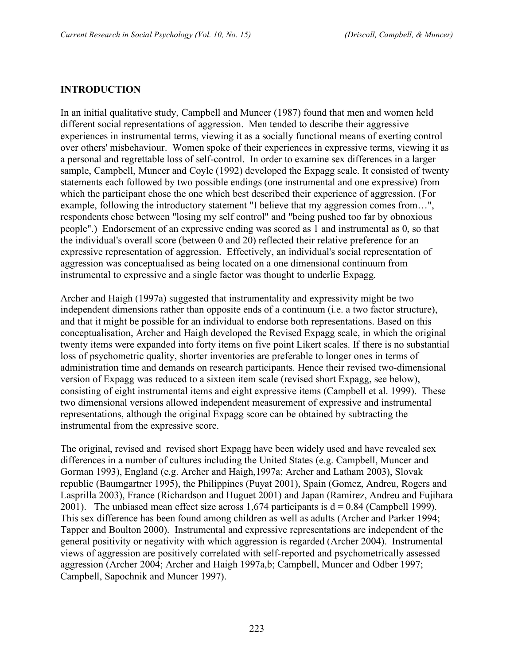#### **INTRODUCTION**

In an initial qualitative study, Campbell and Muncer (1987) found that men and women held different social representations of aggression. Men tended to describe their aggressive experiences in instrumental terms, viewing it as a socially functional means of exerting control over others' misbehaviour. Women spoke of their experiences in expressive terms, viewing it as a personal and regrettable loss of self-control. In order to examine sex differences in a larger sample, Campbell, Muncer and Coyle (1992) developed the Expagg scale. It consisted of twenty statements each followed by two possible endings (one instrumental and one expressive) from which the participant chose the one which best described their experience of aggression. (For example, following the introductory statement "I believe that my aggression comes from…", respondents chose between "losing my self control" and "being pushed too far by obnoxious people".) Endorsement of an expressive ending was scored as 1 and instrumental as 0, so that the individual's overall score (between 0 and 20) reflected their relative preference for an expressive representation of aggression. Effectively, an individual's social representation of aggression was conceptualised as being located on a one dimensional continuum from instrumental to expressive and a single factor was thought to underlie Expagg.

Archer and Haigh (1997a) suggested that instrumentality and expressivity might be two independent dimensions rather than opposite ends of a continuum (i.e. a two factor structure), and that it might be possible for an individual to endorse both representations. Based on this conceptualisation, Archer and Haigh developed the Revised Expagg scale, in which the original twenty items were expanded into forty items on five point Likert scales. If there is no substantial loss of psychometric quality, shorter inventories are preferable to longer ones in terms of administration time and demands on research participants. Hence their revised two-dimensional version of Expagg was reduced to a sixteen item scale (revised short Expagg, see below), consisting of eight instrumental items and eight expressive items (Campbell et al. 1999). These two dimensional versions allowed independent measurement of expressive and instrumental representations, although the original Expagg score can be obtained by subtracting the instrumental from the expressive score.

The original, revised and revised short Expagg have been widely used and have revealed sex differences in a number of cultures including the United States (e.g. Campbell, Muncer and Gorman 1993), England (e.g. Archer and Haigh,1997a; Archer and Latham 2003), Slovak republic (Baumgartner 1995), the Philippines (Puyat 2001), Spain (Gomez, Andreu, Rogers and Lasprilla 2003), France (Richardson and Huguet 2001) and Japan (Ramirez, Andreu and Fujihara 2001). The unbiased mean effect size across 1,674 participants is  $d = 0.84$  (Campbell 1999). This sex difference has been found among children as well as adults (Archer and Parker 1994; Tapper and Boulton 2000). Instrumental and expressive representations are independent of the general positivity or negativity with which aggression is regarded (Archer 2004). Instrumental views of aggression are positively correlated with self-reported and psychometrically assessed aggression (Archer 2004; Archer and Haigh 1997a,b; Campbell, Muncer and Odber 1997; Campbell, Sapochnik and Muncer 1997).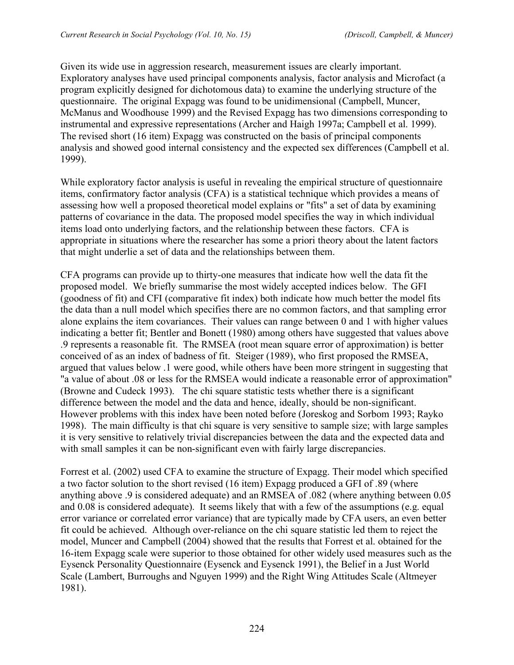Given its wide use in aggression research, measurement issues are clearly important. Exploratory analyses have used principal components analysis, factor analysis and Microfact (a program explicitly designed for dichotomous data) to examine the underlying structure of the questionnaire. The original Expagg was found to be unidimensional (Campbell, Muncer, McManus and Woodhouse 1999) and the Revised Expagg has two dimensions corresponding to instrumental and expressive representations (Archer and Haigh 1997a; Campbell et al. 1999). The revised short (16 item) Expagg was constructed on the basis of principal components analysis and showed good internal consistency and the expected sex differences (Campbell et al. 1999).

While exploratory factor analysis is useful in revealing the empirical structure of questionnaire items, confirmatory factor analysis (CFA) is a statistical technique which provides a means of assessing how well a proposed theoretical model explains or "fits" a set of data by examining patterns of covariance in the data. The proposed model specifies the way in which individual items load onto underlying factors, and the relationship between these factors. CFA is appropriate in situations where the researcher has some a priori theory about the latent factors that might underlie a set of data and the relationships between them.

CFA programs can provide up to thirty-one measures that indicate how well the data fit the proposed model. We briefly summarise the most widely accepted indices below. The GFI (goodness of fit) and CFI (comparative fit index) both indicate how much better the model fits the data than a null model which specifies there are no common factors, and that sampling error alone explains the item covariances. Their values can range between 0 and 1 with higher values indicating a better fit; Bentler and Bonett (1980) among others have suggested that values above .9 represents a reasonable fit. The RMSEA (root mean square error of approximation) is better conceived of as an index of badness of fit. Steiger (1989), who first proposed the RMSEA, argued that values below .1 were good, while others have been more stringent in suggesting that "a value of about .08 or less for the RMSEA would indicate a reasonable error of approximation" (Browne and Cudeck 1993). The chi square statistic tests whether there is a significant difference between the model and the data and hence, ideally, should be non-significant. However problems with this index have been noted before (Joreskog and Sorbom 1993; Rayko 1998). The main difficulty is that chi square is very sensitive to sample size; with large samples it is very sensitive to relatively trivial discrepancies between the data and the expected data and with small samples it can be non-significant even with fairly large discrepancies.

Forrest et al. (2002) used CFA to examine the structure of Expagg. Their model which specified a two factor solution to the short revised (16 item) Expagg produced a GFI of .89 (where anything above .9 is considered adequate) and an RMSEA of .082 (where anything between 0.05 and 0.08 is considered adequate). It seems likely that with a few of the assumptions (e.g. equal error variance or correlated error variance) that are typically made by CFA users, an even better fit could be achieved. Although over-reliance on the chi square statistic led them to reject the model, Muncer and Campbell (2004) showed that the results that Forrest et al. obtained for the 16-item Expagg scale were superior to those obtained for other widely used measures such as the Eysenck Personality Questionnaire (Eysenck and Eysenck 1991), the Belief in a Just World Scale (Lambert, Burroughs and Nguyen 1999) and the Right Wing Attitudes Scale (Altmeyer 1981).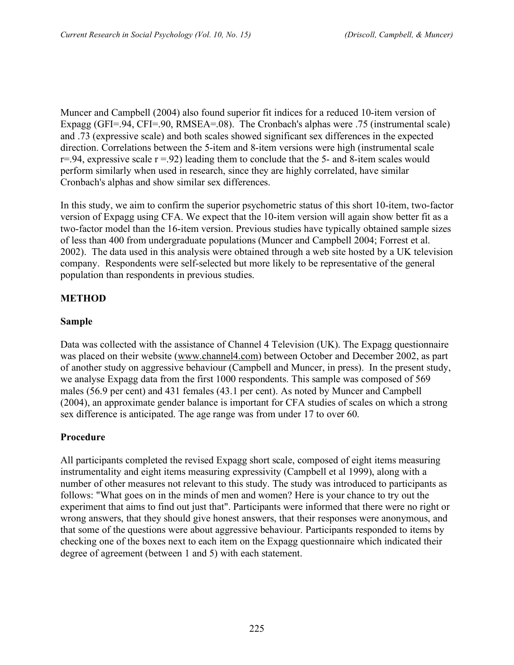Muncer and Campbell (2004) also found superior fit indices for a reduced 10-item version of Expagg (GFI=.94, CFI=.90, RMSEA=.08). The Cronbach's alphas were .75 (instrumental scale) and .73 (expressive scale) and both scales showed significant sex differences in the expected direction. Correlations between the 5-item and 8-item versions were high (instrumental scale  $r=0.94$ , expressive scale  $r=0.92$ ) leading them to conclude that the 5- and 8-item scales would perform similarly when used in research, since they are highly correlated, have similar Cronbach's alphas and show similar sex differences.

In this study, we aim to confirm the superior psychometric status of this short 10-item, two-factor version of Expagg using CFA. We expect that the 10-item version will again show better fit as a two-factor model than the 16-item version. Previous studies have typically obtained sample sizes of less than 400 from undergraduate populations (Muncer and Campbell 2004; Forrest et al. 2002). The data used in this analysis were obtained through a web site hosted by a UK television company. Respondents were self-selected but more likely to be representative of the general population than respondents in previous studies.

## **METHOD**

### **Sample**

Data was collected with the assistance of Channel 4 Television (UK). The Expagg questionnaire was placed on their website (www.channel4.com) between October and December 2002, as part of another study on aggressive behaviour (Campbell and Muncer, in press). In the present study, we analyse Expagg data from the first 1000 respondents. This sample was composed of 569 males (56.9 per cent) and 431 females (43.1 per cent). As noted by Muncer and Campbell (2004), an approximate gender balance is important for CFA studies of scales on which a strong sex difference is anticipated. The age range was from under 17 to over 60.

## **Procedure**

All participants completed the revised Expagg short scale, composed of eight items measuring instrumentality and eight items measuring expressivity (Campbell et al 1999), along with a number of other measures not relevant to this study. The study was introduced to participants as follows: "What goes on in the minds of men and women? Here is your chance to try out the experiment that aims to find out just that". Participants were informed that there were no right or wrong answers, that they should give honest answers, that their responses were anonymous, and that some of the questions were about aggressive behaviour. Participants responded to items by checking one of the boxes next to each item on the Expagg questionnaire which indicated their degree of agreement (between 1 and 5) with each statement.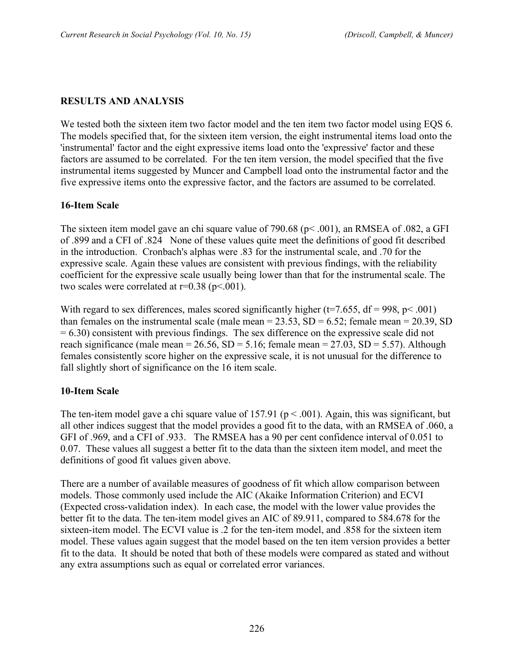## **RESULTS AND ANALYSIS**

We tested both the sixteen item two factor model and the ten item two factor model using EQS 6. The models specified that, for the sixteen item version, the eight instrumental items load onto the 'instrumental' factor and the eight expressive items load onto the 'expressive' factor and these factors are assumed to be correlated. For the ten item version, the model specified that the five instrumental items suggested by Muncer and Campbell load onto the instrumental factor and the five expressive items onto the expressive factor, and the factors are assumed to be correlated.

### **16-Item Scale**

The sixteen item model gave an chi square value of 790.68 (p< .001), an RMSEA of .082, a GFI of .899 and a CFI of .824 None of these values quite meet the definitions of good fit described in the introduction. Cronbach's alphas were .83 for the instrumental scale, and .70 for the expressive scale. Again these values are consistent with previous findings, with the reliability coefficient for the expressive scale usually being lower than that for the instrumental scale. The two scales were correlated at  $r=0.38$  ( $p<.001$ ).

With regard to sex differences, males scored significantly higher ( $t=7.655$ ,  $df = 998$ ,  $p < .001$ ) than females on the instrumental scale (male mean  $= 23.53$ , SD  $= 6.52$ ; female mean  $= 20.39$ , SD  $= 6.30$ ) consistent with previous findings. The sex difference on the expressive scale did not reach significance (male mean =  $26.56$ , SD =  $5.16$ ; female mean =  $27.03$ , SD =  $5.57$ ). Although females consistently score higher on the expressive scale, it is not unusual for the difference to fall slightly short of significance on the 16 item scale.

#### **10-Item Scale**

The ten-item model gave a chi square value of 157.91 ( $p < .001$ ). Again, this was significant, but all other indices suggest that the model provides a good fit to the data, with an RMSEA of .060, a GFI of .969, and a CFI of .933. The RMSEA has a 90 per cent confidence interval of 0.051 to 0.07. These values all suggest a better fit to the data than the sixteen item model, and meet the definitions of good fit values given above.

There are a number of available measures of goodness of fit which allow comparison between models. Those commonly used include the AIC (Akaike Information Criterion) and ECVI (Expected cross-validation index). In each case, the model with the lower value provides the better fit to the data. The ten-item model gives an AIC of 89.911, compared to 584.678 for the sixteen-item model. The ECVI value is .2 for the ten-item model, and .858 for the sixteen item model. These values again suggest that the model based on the ten item version provides a better fit to the data. It should be noted that both of these models were compared as stated and without any extra assumptions such as equal or correlated error variances.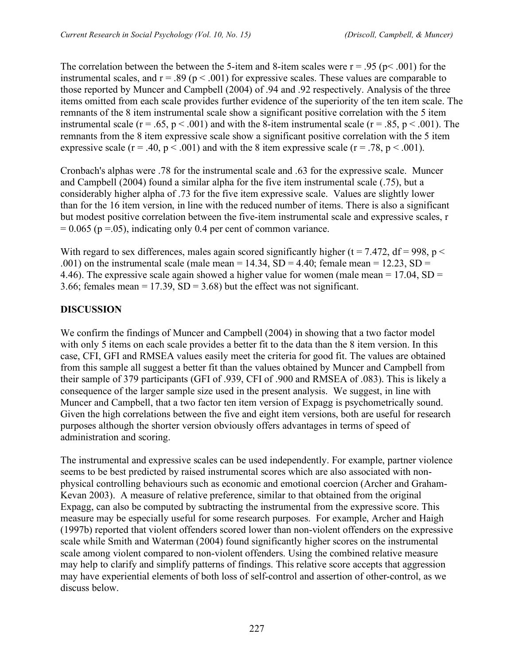The correlation between the between the 5-item and 8-item scales were  $r = .95$  ( $p < .001$ ) for the instrumental scales, and  $r = .89$  ( $p < .001$ ) for expressive scales. These values are comparable to those reported by Muncer and Campbell (2004) of .94 and .92 respectively. Analysis of the three items omitted from each scale provides further evidence of the superiority of the ten item scale. The remnants of the 8 item instrumental scale show a significant positive correlation with the 5 item instrumental scale ( $r = .65$ ,  $p < .001$ ) and with the 8-item instrumental scale ( $r = .85$ ,  $p < .001$ ). The remnants from the 8 item expressive scale show a significant positive correlation with the 5 item expressive scale ( $r = .40$ ,  $p < .001$ ) and with the 8 item expressive scale ( $r = .78$ ,  $p < .001$ ).

Cronbach's alphas were .78 for the instrumental scale and .63 for the expressive scale. Muncer and Campbell (2004) found a similar alpha for the five item instrumental scale (.75), but a considerably higher alpha of .73 for the five item expressive scale. Values are slightly lower than for the 16 item version, in line with the reduced number of items. There is also a significant but modest positive correlation between the five-item instrumental scale and expressive scales, r  $= 0.065$  (p =.05), indicating only 0.4 per cent of common variance.

With regard to sex differences, males again scored significantly higher ( $t = 7.472$ ,  $df = 998$ ,  $p <$ .001) on the instrumental scale (male mean =  $14.34$ , SD =  $4.40$ ; female mean =  $12.23$ , SD = 4.46). The expressive scale again showed a higher value for women (male mean  $= 17.04$ , SD  $=$ 3.66; females mean =  $17.39$ , SD =  $3.68$ ) but the effect was not significant.

### **DISCUSSION**

We confirm the findings of Muncer and Campbell (2004) in showing that a two factor model with only 5 items on each scale provides a better fit to the data than the 8 item version. In this case, CFI, GFI and RMSEA values easily meet the criteria for good fit. The values are obtained from this sample all suggest a better fit than the values obtained by Muncer and Campbell from their sample of 379 participants (GFI of .939, CFI of .900 and RMSEA of .083). This is likely a consequence of the larger sample size used in the present analysis. We suggest, in line with Muncer and Campbell, that a two factor ten item version of Expagg is psychometrically sound. Given the high correlations between the five and eight item versions, both are useful for research purposes although the shorter version obviously offers advantages in terms of speed of administration and scoring.

The instrumental and expressive scales can be used independently. For example, partner violence seems to be best predicted by raised instrumental scores which are also associated with nonphysical controlling behaviours such as economic and emotional coercion (Archer and Graham-Kevan 2003). A measure of relative preference, similar to that obtained from the original Expagg, can also be computed by subtracting the instrumental from the expressive score. This measure may be especially useful for some research purposes. For example, Archer and Haigh (1997b) reported that violent offenders scored lower than non-violent offenders on the expressive scale while Smith and Waterman (2004) found significantly higher scores on the instrumental scale among violent compared to non-violent offenders. Using the combined relative measure may help to clarify and simplify patterns of findings. This relative score accepts that aggression may have experiential elements of both loss of self-control and assertion of other-control, as we discuss below.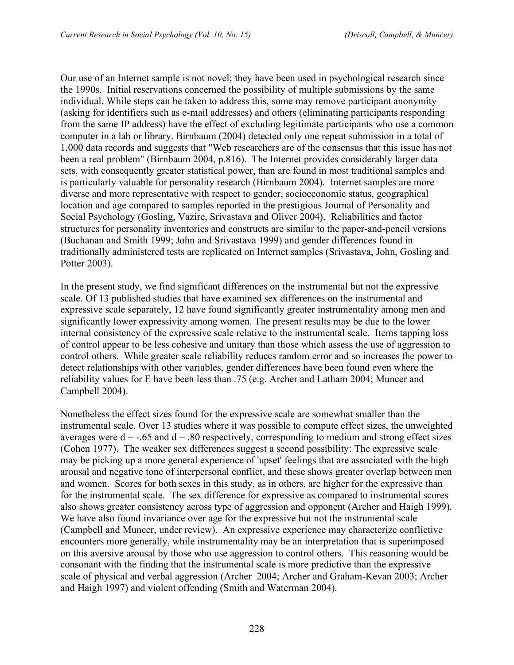Our use of an Internet sample is not novel; they have been used in psychological research since the 1990s. Initial reservations concerned the possibility of multiple submissions by the same individual. While steps can be taken to address this, some may remove participant anonymity (asking for identifiers such as e-mail addresses) and others (eliminating participants responding from the same IP address) have the effect of excluding legitimate participants who use a common computer in a lab or library. Birnbaum (2004) detected only one repeat submission in a total of 1,000 data records and suggests that "Web researchers are of the consensus that this issue has not been a real problem" (Birnbaum 2004, p.816). The Internet provides considerably larger data sets, with consequently greater statistical power, than are found in most traditional samples and is particularly valuable for personality research (Birnbaum 2004). Internet samples are more diverse and more representative with respect to gender, socioeconomic status, geographical location and age compared to samples reported in the prestigious Journal of Personality and Social Psychology (Gosling, Vazire, Srivastava and Oliver 2004). Reliabilities and factor structures for personality inventories and constructs are similar to the paper-and-pencil versions (Buchanan and Smith 1999; John and Srivastava 1999) and gender differences found in traditionally administered tests are replicated on Internet samples (Srivastava, John, Gosling and Potter 2003).

In the present study, we find significant differences on the instrumental but not the expressive scale. Of 13 published studies that have examined sex differences on the instrumental and expressive scale separately, 12 have found significantly greater instrumentality among men and significantly lower expressivity among women. The present results may be due to the lower internal consistency of the expressive scale relative to the instrumental scale. Items tapping loss of control appear to be less cohesive and unitary than those which assess the use of aggression to control others. While greater scale reliability reduces random error and so increases the power to detect relationships with other variables, gender differences have been found even where the reliability values for E have been less than .75 (e.g. Archer and Latham 2004; Muncer and Campbell 2004).

Nonetheless the effect sizes found for the expressive scale are somewhat smaller than the instrumental scale. Over 13 studies where it was possible to compute effect sizes, the unweighted averages were  $d = -0.65$  and  $d = 0.80$  respectively, corresponding to medium and strong effect sizes (Cohen 1977). The weaker sex differences suggest a second possibility: The expressive scale may be picking up a more general experience of 'upset' feelings that are associated with the high arousal and negative tone of interpersonal conflict, and these shows greater overlap between men and women. Scores for both sexes in this study, as in others, are higher for the expressive than for the instrumental scale. The sex difference for expressive as compared to instrumental scores also shows greater consistency across type of aggression and opponent (Archer and Haigh 1999). We have also found invariance over age for the expressive but not the instrumental scale (Campbell and Muncer, under review). An expressive experience may characterize conflictive encounters more generally, while instrumentality may be an interpretation that is superimposed on this aversive arousal by those who use aggression to control others. This reasoning would be consonant with the finding that the instrumental scale is more predictive than the expressive scale of physical and verbal aggression (Archer 2004; Archer and Graham-Kevan 2003; Archer and Haigh 1997) and violent offending (Smith and Waterman 2004).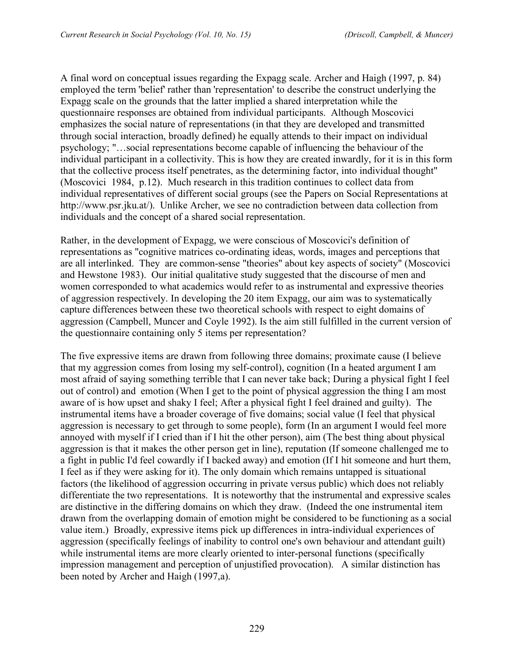A final word on conceptual issues regarding the Expagg scale. Archer and Haigh (1997, p. 84) employed the term 'belief' rather than 'representation' to describe the construct underlying the Expagg scale on the grounds that the latter implied a shared interpretation while the questionnaire responses are obtained from individual participants. Although Moscovici emphasizes the social nature of representations (in that they are developed and transmitted through social interaction, broadly defined) he equally attends to their impact on individual psychology; "…social representations become capable of influencing the behaviour of the individual participant in a collectivity. This is how they are created inwardly, for it is in this form that the collective process itself penetrates, as the determining factor, into individual thought" (Moscovici 1984, p.12). Much research in this tradition continues to collect data from individual representatives of different social groups (see the Papers on Social Representations at http://www.psr.jku.at/). Unlike Archer, we see no contradiction between data collection from individuals and the concept of a shared social representation.

Rather, in the development of Expagg, we were conscious of Moscovici's definition of representations as "cognitive matrices co-ordinating ideas, words, images and perceptions that are all interlinked. They are common-sense "theories" about key aspects of society" (Moscovici and Hewstone 1983). Our initial qualitative study suggested that the discourse of men and women corresponded to what academics would refer to as instrumental and expressive theories of aggression respectively. In developing the 20 item Expagg, our aim was to systematically capture differences between these two theoretical schools with respect to eight domains of aggression (Campbell, Muncer and Coyle 1992). Is the aim still fulfilled in the current version of the questionnaire containing only 5 items per representation?

The five expressive items are drawn from following three domains; proximate cause (I believe that my aggression comes from losing my self-control), cognition (In a heated argument I am most afraid of saying something terrible that I can never take back; During a physical fight I feel out of control) and emotion (When I get to the point of physical aggression the thing I am most aware of is how upset and shaky I feel; After a physical fight I feel drained and guilty). The instrumental items have a broader coverage of five domains; social value (I feel that physical aggression is necessary to get through to some people), form (In an argument I would feel more annoyed with myself if I cried than if I hit the other person), aim (The best thing about physical aggression is that it makes the other person get in line), reputation (If someone challenged me to a fight in public I'd feel cowardly if I backed away) and emotion (If I hit someone and hurt them, I feel as if they were asking for it). The only domain which remains untapped is situational factors (the likelihood of aggression occurring in private versus public) which does not reliably differentiate the two representations. It is noteworthy that the instrumental and expressive scales are distinctive in the differing domains on which they draw. (Indeed the one instrumental item drawn from the overlapping domain of emotion might be considered to be functioning as a social value item.) Broadly, expressive items pick up differences in intra-individual experiences of aggression (specifically feelings of inability to control one's own behaviour and attendant guilt) while instrumental items are more clearly oriented to inter-personal functions (specifically impression management and perception of unjustified provocation). A similar distinction has been noted by Archer and Haigh (1997,a).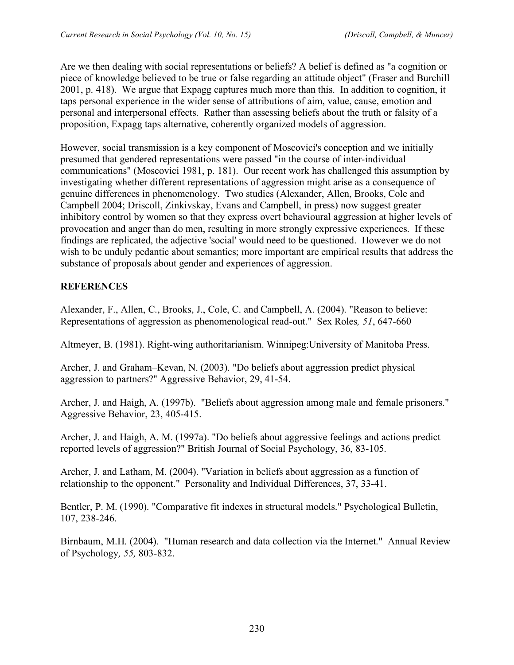Are we then dealing with social representations or beliefs? A belief is defined as "a cognition or piece of knowledge believed to be true or false regarding an attitude object" (Fraser and Burchill 2001, p. 418). We argue that Expagg captures much more than this. In addition to cognition, it taps personal experience in the wider sense of attributions of aim, value, cause, emotion and personal and interpersonal effects. Rather than assessing beliefs about the truth or falsity of a proposition, Expagg taps alternative, coherently organized models of aggression.

However, social transmission is a key component of Moscovici's conception and we initially presumed that gendered representations were passed "in the course of inter-individual communications" (Moscovici 1981, p. 181). Our recent work has challenged this assumption by investigating whether different representations of aggression might arise as a consequence of genuine differences in phenomenology. Two studies (Alexander, Allen, Brooks, Cole and Campbell 2004; Driscoll, Zinkivskay, Evans and Campbell, in press) now suggest greater inhibitory control by women so that they express overt behavioural aggression at higher levels of provocation and anger than do men, resulting in more strongly expressive experiences. If these findings are replicated, the adjective 'social' would need to be questioned. However we do not wish to be unduly pedantic about semantics; more important are empirical results that address the substance of proposals about gender and experiences of aggression.

## **REFERENCES**

Alexander, F., Allen, C., Brooks, J., Cole, C. and Campbell, A. (2004). "Reason to believe: Representations of aggression as phenomenological read-out." Sex Roles*, 51*, 647-660

Altmeyer, B. (1981). Right-wing authoritarianism. Winnipeg:University of Manitoba Press.

Archer, J. and Graham–Kevan, N. (2003). "Do beliefs about aggression predict physical aggression to partners?" Aggressive Behavior, 29, 41-54.

Archer, J. and Haigh, A. (1997b). "Beliefs about aggression among male and female prisoners." Aggressive Behavior, 23, 405-415.

Archer, J. and Haigh, A. M. (1997a). "Do beliefs about aggressive feelings and actions predict reported levels of aggression?" British Journal of Social Psychology, 36, 83-105.

Archer, J. and Latham, M. (2004). "Variation in beliefs about aggression as a function of relationship to the opponent." Personality and Individual Differences, 37, 33-41.

Bentler, P. M. (1990). "Comparative fit indexes in structural models." Psychological Bulletin, 107, 238-246.

Birnbaum, M.H. (2004). "Human research and data collection via the Internet." Annual Review of Psychology*, 55,* 803-832.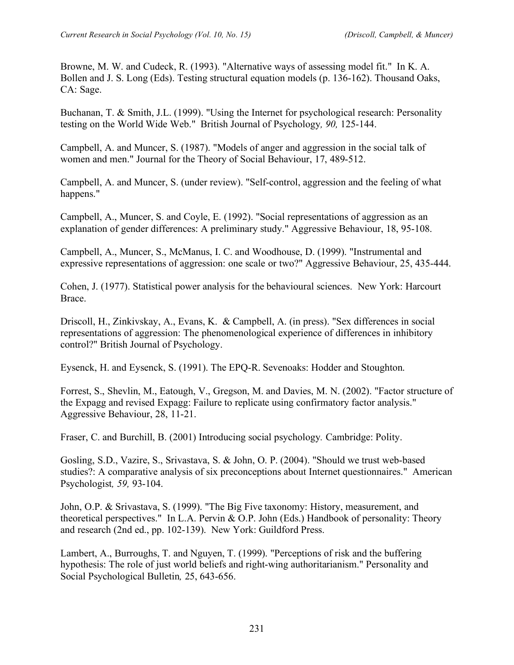Browne, M. W. and Cudeck, R. (1993). "Alternative ways of assessing model fit." In K. A. Bollen and J. S. Long (Eds). Testing structural equation models (p. 136-162). Thousand Oaks, CA: Sage.

Buchanan, T. & Smith, J.L. (1999). "Using the Internet for psychological research: Personality testing on the World Wide Web." British Journal of Psychology*, 90,* 125-144.

Campbell, A. and Muncer, S. (1987). "Models of anger and aggression in the social talk of women and men." Journal for the Theory of Social Behaviour, 17, 489-512.

Campbell, A. and Muncer, S. (under review). "Self-control, aggression and the feeling of what happens."

Campbell, A., Muncer, S. and Coyle, E. (1992). "Social representations of aggression as an explanation of gender differences: A preliminary study." Aggressive Behaviour, 18, 95-108.

Campbell, A., Muncer, S., McManus, I. C. and Woodhouse, D. (1999). "Instrumental and expressive representations of aggression: one scale or two?" Aggressive Behaviour, 25, 435-444.

Cohen, J. (1977). Statistical power analysis for the behavioural sciences. New York: Harcourt Brace.

Driscoll, H., Zinkivskay, A., Evans, K. & Campbell, A. (in press). "Sex differences in social representations of aggression: The phenomenological experience of differences in inhibitory control?" British Journal of Psychology.

Eysenck, H. and Eysenck, S. (1991). The EPQ-R. Sevenoaks: Hodder and Stoughton.

Forrest, S., Shevlin, M., Eatough, V., Gregson, M. and Davies, M. N. (2002). "Factor structure of the Expagg and revised Expagg: Failure to replicate using confirmatory factor analysis." Aggressive Behaviour, 28, 11-21.

Fraser, C. and Burchill, B. (2001) Introducing social psychology*.* Cambridge: Polity.

Gosling, S.D., Vazire, S., Srivastava, S. & John, O. P. (2004). "Should we trust web-based studies?: A comparative analysis of six preconceptions about Internet questionnaires." American Psychologist*, 59,* 93-104.

John, O.P. & Srivastava, S. (1999). "The Big Five taxonomy: History, measurement, and theoretical perspectives." In L.A. Pervin & O.P. John (Eds.) Handbook of personality: Theory and research (2nd ed., pp. 102-139). New York: Guildford Press.

Lambert, A., Burroughs, T. and Nguyen, T. (1999). "Perceptions of risk and the buffering hypothesis: The role of just world beliefs and right-wing authoritarianism." Personality and Social Psychological Bulletin*,* 25, 643-656.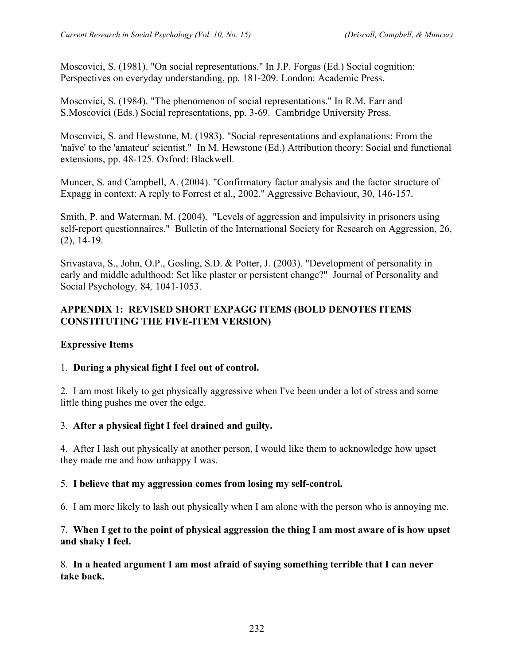Moscovici, S. (1981). "On social representations." In J.P. Forgas (Ed.) Social cognition: Perspectives on everyday understanding, pp. 181-209. London: Academic Press.

Moscovici, S. (1984). "The phenomenon of social representations." In R.M. Farr and S.Moscovici (Eds.) Social representations, pp. 3-69. Cambridge University Press.

Moscovici, S. and Hewstone, M. (1983). "Social representations and explanations: From the 'naïve' to the 'amateur' scientist." In M. Hewstone (Ed.) Attribution theory: Social and functional extensions, pp. 48-125. Oxford: Blackwell.

Muncer, S. and Campbell, A. (2004). "Confirmatory factor analysis and the factor structure of Expagg in context: A reply to Forrest et al., 2002." Aggressive Behaviour, 30, 146-157.

Smith, P. and Waterman, M. (2004). "Levels of aggression and impulsivity in prisoners using self-report questionnaires." Bulletin of the International Society for Research on Aggression, 26, (2), 14-19.

Srivastava, S., John, O.P., Gosling, S.D. & Potter, J. (2003). "Development of personality in early and middle adulthood: Set like plaster or persistent change?" Journal of Personality and Social Psychology*,* 84*,* 1041-1053.

## **APPENDIX 1: REVISED SHORT EXPAGG ITEMS (BOLD DENOTES ITEMS CONSTITUTING THE FIVE-ITEM VERSION)**

## **Expressive Items**

#### 1. **During a physical fight I feel out of control.**

2. I am most likely to get physically aggressive when I've been under a lot of stress and some little thing pushes me over the edge.

#### 3. **After a physical fight I feel drained and guilty.**

4. After I lash out physically at another person, I would like them to acknowledge how upset they made me and how unhappy I was.

#### 5. **I believe that my aggression comes from losing my self-control.**

6. I am more likely to lash out physically when I am alone with the person who is annoying me.

#### 7. **When I get to the point of physical aggression the thing I am most aware of is how upset and shaky I feel.**

8. **In a heated argument I am most afraid of saying something terrible that I can never take back.**